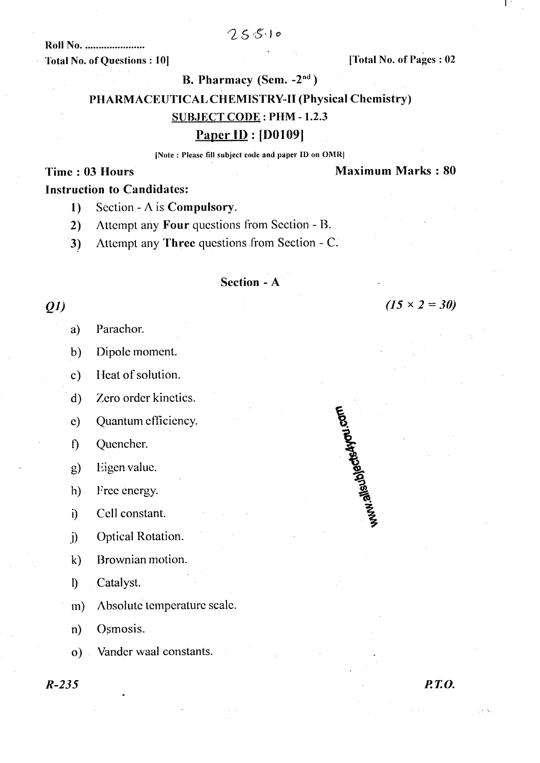# $25510$

**Roll No. ..................... Total No. of Questions: 10]** 

[Total No. of Pages: 02

#### B. Pharmacy (Sem. -2<sup>nd</sup>)

# PHARMACEUTICAL CHEMISTRY-II (Physical Chemistry)

#### **SUBJECT CODE: PHM-1.2.3**

## Paper ID :  $[D0109]$

#### [Note: Please fill subject code and paper ID on OMR]

#### Time: 03 Hours

#### **Maximum Marks: 80**

 $(15 \times 2 = 30)$ 

# **Instruction to Candidates:**

- Section A is Compulsory.  $1)$
- Attempt any Four questions from Section B.  $2)$
- Attempt any Three questions from Section C.  $\mathbf{3}$

#### Section - A

# $QI$

- Parachor. a)
- Dipole moment.  $b)$
- Heat of solution.  $\mathbf{c})$

Zero order kinetics.  $\mathbf{d}$ 

Quantum efficiency.  $\mathbf{c})$ 

- Quencher.  $\hat{D}$
- Eigen value.  $g)$
- $h)$ Free energy.
- Cell constant.  $\ddot{\mathbf{i}}$
- Optical Rotation.  $\ddot{\mathbf{i}}$
- Brownian motion.  $\mathbf{k}$
- $\mathbf{D}$ Catalyst.
- Absolute temperature scale.  $m)$
- Osmosis.  $\mathbf{n}$
- Vander waal constants.  $\mathbf{o}$ )



 $R - 235$ 

**P.T.O.**